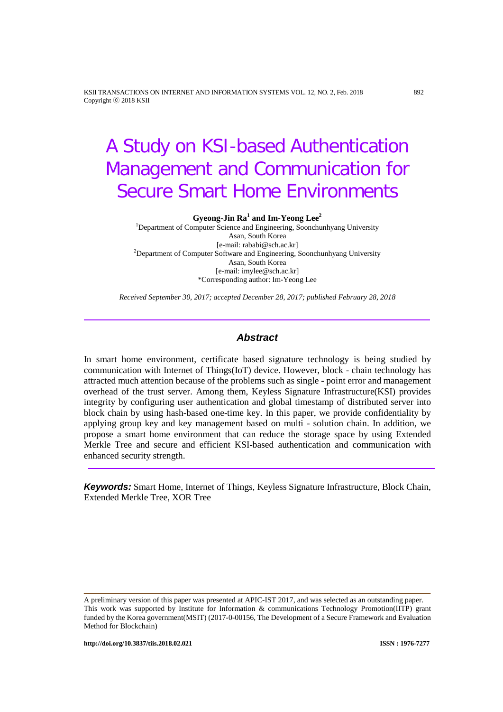KSII TRANSACTIONS ON INTERNET AND INFORMATION SYSTEMS VOL. 12, NO. 2, Feb. 2018 892 Copyright ⓒ 2018 KSII

# A Study on KSI-based Authentication Management and Communication for Secure Smart Home Environments

**Gyeong-Jin Ra<sup>1</sup> and Im-Yeong Lee<sup>2</sup>**

<sup>1</sup>Department of Computer Science and Engineering, Soonchunhyang University Asan, South Korea<br>[e-mail: rababi@sch.ac.kr] [e-mail: rababi@sch.ac.kr] <sup>2</sup> Department of Computer Software and Engineering, Soonchunhyang University Asan, South Korea [e-mail: imylee@sch.ac.kr] \*Corresponding author: Im-Yeong Lee

*Received September 30, 2017; accepted December 28, 2017; published February 28, 2018*

## *Abstract*

In smart home environment, certificate based signature technology is being studied by communication with Internet of Things(IoT) device. However, block - chain technology has attracted much attention because of the problems such as single - point error and management overhead of the trust server. Among them, Keyless Signature Infrastructure(KSI) provides integrity by configuring user authentication and global timestamp of distributed server into block chain by using hash-based one-time key. In this paper, we provide confidentiality by applying group key and key management based on multi - solution chain. In addition, we propose a smart home environment that can reduce the storage space by using Extended Merkle Tree and secure and efficient KSI-based authentication and communication with enhanced security strength.

*Keywords:* Smart Home, Internet of Things, Keyless Signature Infrastructure, Block Chain, Extended Merkle Tree, XOR Tree

A preliminary version of this paper was presented at APIC-IST 2017, and was selected as an outstanding paper. This work was supported by Institute for Information & communications Technology Promotion(IITP) grant funded by the Korea government(MSIT) (2017-0-00156, The Development of a Secure Framework and Evaluation Method for Blockchain)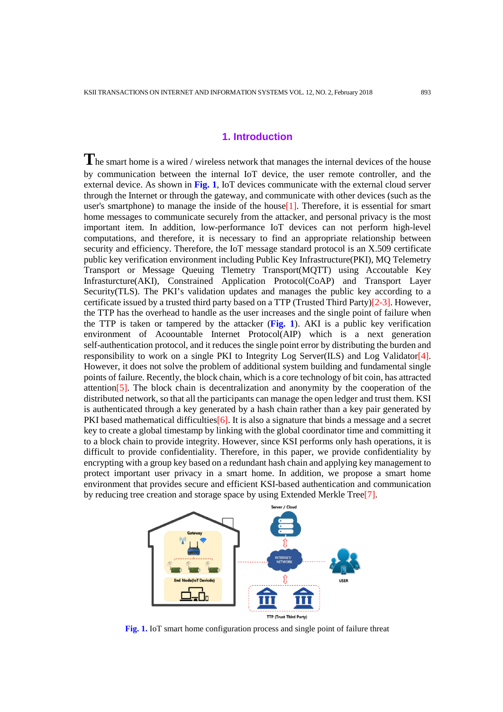# **1. Introduction**

**T**he smart home is a wired / wireless network that manages the internal devices of the house by communication between the internal IoT device, the user remote controller, and the external device. As shown in **Fig. 1**, IoT devices communicate with the external cloud server through the Internet or through the gateway, and communicate with other devices (such as the user's smartphone) to manage the inside of the house  $[1]$ . Therefore, it is essential for smart home messages to communicate securely from the attacker, and personal privacy is the most important item. In addition, low-performance IoT devices can not perform high-level computations, and therefore, it is necessary to find an appropriate relationship between security and efficiency. Therefore, the IoT message standard protocol is an X.509 certificate public key verification environment including Public Key Infrastructure(PKI), MQ Telemetry Transport or Message Queuing Tlemetry Transport(MQTT) using Accoutable Key Infrasturcture(AKI), Constrained Application Protocol(CoAP) and Transport Layer Security(TLS). The PKI's validation updates and manages the public key according to a certificate issued by a trusted third party based on a TTP (Trusted Third Party)[2-3]. However, the TTP has the overhead to handle as the user increases and the single point of failure when the TTP is taken or tampered by the attacker (**Fig. 1**). AKI is a public key verification environment of Acoountable Internet Protocol(AIP) which is a next generation self-authentication protocol, and it reduces the single point error by distributing the burden and responsibility to work on a single PKI to Integrity Log Server(ILS) and Log Validator[4]. However, it does not solve the problem of additional system building and fundamental single points of failure. Recently, the block chain, which is a core technology of bit coin, has attracted attention[5]. The block chain is decentralization and anonymity by the cooperation of the distributed network, so that all the participants can manage the open ledger and trust them. KSI is authenticated through a key generated by a hash chain rather than a key pair generated by PKI based mathematical difficulties  $[6]$ . It is also a signature that binds a message and a secret key to create a global timestamp by linking with the global coordinator time and committing it to a block chain to provide integrity. However, since KSI performs only hash operations, it is difficult to provide confidentiality. Therefore, in this paper, we provide confidentiality by encrypting with a group key based on a redundant hash chain and applying key management to protect important user privacy in a smart home. In addition, we propose a smart home environment that provides secure and efficient KSI-based authentication and communication by reducing tree creation and storage space by using Extended Merkle Tree[7].



**Fig. 1.** IoT smart home configuration process and single point of failure threat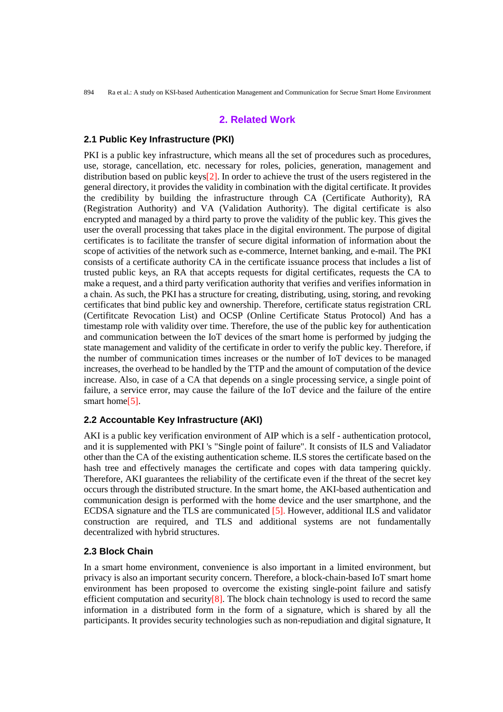894 Ra et al.: A study on KSI-based Authentication Management and Communication for Secrue Smart Home Environment

# **2. Related Work**

## **2.1 Public Key Infrastructure (PKI)**

PKI is a public key infrastructure, which means all the set of procedures such as procedures, use, storage, cancellation, etc. necessary for roles, policies, generation, management and distribution based on public keys[2]. In order to achieve the trust of the users registered in the general directory, it provides the validity in combination with the digital certificate. It provides the credibility by building the infrastructure through CA (Certificate Authority), RA (Registration Authority) and VA (Validation Authority). The digital certificate is also encrypted and managed by a third party to prove the validity of the public key. This gives the user the overall processing that takes place in the digital environment. The purpose of digital certificates is to facilitate the transfer of secure digital information of information about the scope of activities of the network such as e-commerce, Internet banking, and e-mail. The PKI consists of a certificate authority CA in the certificate issuance process that includes a list of trusted public keys, an RA that accepts requests for digital certificates, requests the CA to make a request, and a third party verification authority that verifies and verifies information in a chain. As such, the PKI has a structure for creating, distributing, using, storing, and revoking certificates that bind public key and ownership. Therefore, certificate status registration CRL (Certifitcate Revocation List) and OCSP (Online Certificate Status Protocol) And has a timestamp role with validity over time. Therefore, the use of the public key for authentication and communication between the IoT devices of the smart home is performed by judging the state management and validity of the certificate in order to verify the public key. Therefore, if the number of communication times increases or the number of IoT devices to be managed increases, the overhead to be handled by the TTP and the amount of computation of the device increase. Also, in case of a CA that depends on a single processing service, a single point of failure, a service error, may cause the failure of the IoT device and the failure of the entire smart home<sup>[5]</sup>.

## **2.2 Accountable Key Infrastructure (AKI)**

AKI is a public key verification environment of AIP which is a self - authentication protocol, and it is supplemented with PKI 's "Single point of failure". It consists of ILS and Valiadator other than the CA of the existing authentication scheme. ILS stores the certificate based on the hash tree and effectively manages the certificate and copes with data tampering quickly. Therefore, AKI guarantees the reliability of the certificate even if the threat of the secret key occurs through the distributed structure. In the smart home, the AKI-based authentication and communication design is performed with the home device and the user smartphone, and the ECDSA signature and the TLS are communicated [5]. However, additional ILS and validator construction are required, and TLS and additional systems are not fundamentally decentralized with hybrid structures.

# **2.3 Block Chain**

In a smart home environment, convenience is also important in a limited environment, but privacy is also an important security concern. Therefore, a block-chain-based IoT smart home environment has been proposed to overcome the existing single-point failure and satisfy efficient computation and security  $[8]$ . The block chain technology is used to record the same information in a distributed form in the form of a signature, which is shared by all the participants. It provides security technologies such as non-repudiation and digital signature, It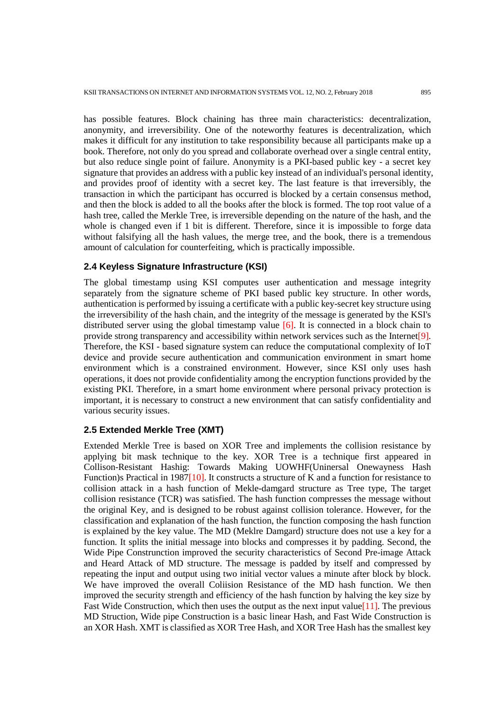has possible features. Block chaining has three main characteristics: decentralization, anonymity, and irreversibility. One of the noteworthy features is decentralization, which makes it difficult for any institution to take responsibility because all participants make up a book. Therefore, not only do you spread and collaborate overhead over a single central entity, but also reduce single point of failure. Anonymity is a PKI-based public key - a secret key signature that provides an address with a public key instead of an individual's personal identity, and provides proof of identity with a secret key. The last feature is that irreversibly, the transaction in which the participant has occurred is blocked by a certain consensus method, and then the block is added to all the books after the block is formed. The top root value of a hash tree, called the Merkle Tree, is irreversible depending on the nature of the hash, and the whole is changed even if 1 bit is different. Therefore, since it is impossible to forge data without falsifying all the hash values, the merge tree, and the book, there is a tremendous amount of calculation for counterfeiting, which is practically impossible.

## **2.4 Keyless Signature Infrastructure (KSI)**

The global timestamp using KSI computes user authentication and message integrity separately from the signature scheme of PKI based public key structure. In other words, authentication is performed by issuing a certificate with a public key-secret key structure using the irreversibility of the hash chain, and the integrity of the message is generated by the KSI's distributed server using the global timestamp value [6]. It is connected in a block chain to provide strong transparency and accessibility within network services such as the Internet<sup>[9]</sup>. Therefore, the KSI - based signature system can reduce the computational complexity of IoT device and provide secure authentication and communication environment in smart home environment which is a constrained environment. However, since KSI only uses hash operations, it does not provide confidentiality among the encryption functions provided by the existing PKI. Therefore, in a smart home environment where personal privacy protection is important, it is necessary to construct a new environment that can satisfy confidentiality and various security issues.

## **2.5 Extended Merkle Tree (XMT)**

Extended Merkle Tree is based on XOR Tree and implements the collision resistance by applying bit mask technique to the key. XOR Tree is a technique first appeared in Collison-Resistant Hashig: Towards Making UOWHF(Uninersal Onewayness Hash Function)s Practical in 1987[10]. It constructs a structure of K and a function for resistance to collision attack in a hash function of Mekle-damgard structure as Tree type, The target collision resistance (TCR) was satisfied. The hash function compresses the message without the original Key, and is designed to be robust against collision tolerance. However, for the classification and explanation of the hash function, the function composing the hash function is explained by the key value. The MD (Meklre Damgard) structure does not use a key for a function. It splits the initial message into blocks and compresses it by padding. Second, the Wide Pipe Construnction improved the security characteristics of Second Pre-image Attack and Heard Attack of MD structure. The message is padded by itself and compressed by repeating the input and output using two initial vector values a minute after block by block. We have improved the overall Coliision Resistance of the MD hash function. We then improved the security strength and efficiency of the hash function by halving the key size by Fast Wide Construction, which then uses the output as the next input value [11]. The previous MD Struction, Wide pipe Construction is a basic linear Hash, and Fast Wide Construction is an XOR Hash. XMT is classified as XOR Tree Hash, and XOR Tree Hash has the smallest key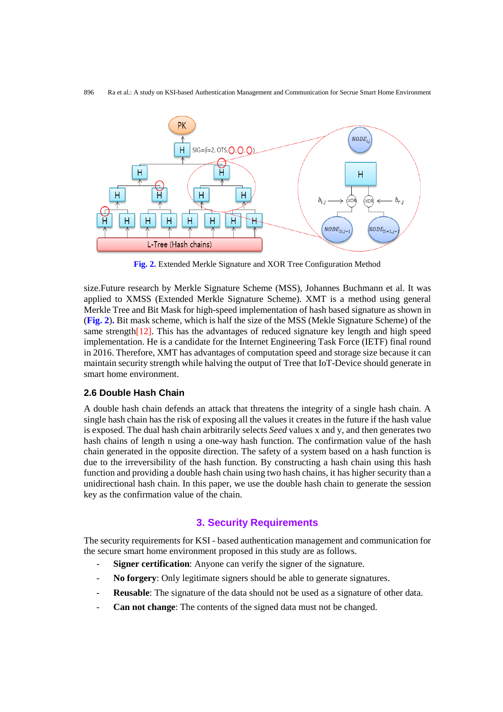

**Fig. 2.** Extended Merkle Signature and XOR Tree Configuration Method

size.Future research by Merkle Signature Scheme (MSS), Johannes Buchmann et al. It was applied to XMSS (Extended Merkle Signature Scheme). XMT is a method using general Merkle Tree and Bit Mask for high-speed implementation of hash based signature as shown in (**Fig. 2**)**.** Bit mask scheme, which is half the size of the MSS (Mekle Signature Scheme) of the same strength[12]. This has the advantages of reduced signature key length and high speed implementation. He is a candidate for the Internet Engineering Task Force (IETF) final round in 2016. Therefore, XMT has advantages of computation speed and storage size because it can maintain security strength while halving the output of Tree that IoT-Device should generate in smart home environment.

## **2.6 Double Hash Chain**

A double hash chain defends an attack that threatens the integrity of a single hash chain. A single hash chain has the risk of exposing all the values it creates in the future if the hash value is exposed. The dual hash chain arbitrarily selects *Seed* values x and y, and then generates two hash chains of length n using a one-way hash function. The confirmation value of the hash chain generated in the opposite direction. The safety of a system based on a hash function is due to the irreversibility of the hash function. By constructing a hash chain using this hash function and providing a double hash chain using two hash chains, it has higher security than a unidirectional hash chain. In this paper, we use the double hash chain to generate the session key as the confirmation value of the chain.

# **3. Security Requirements**

The security requirements for KSI - based authentication management and communication for the secure smart home environment proposed in this study are as follows.

- Signer certification: Anyone can verify the signer of the signature.
- No forgery: Only legitimate signers should be able to generate signatures.
- **Reusable**: The signature of the data should not be used as a signature of other data.
- **Can not change**: The contents of the signed data must not be changed.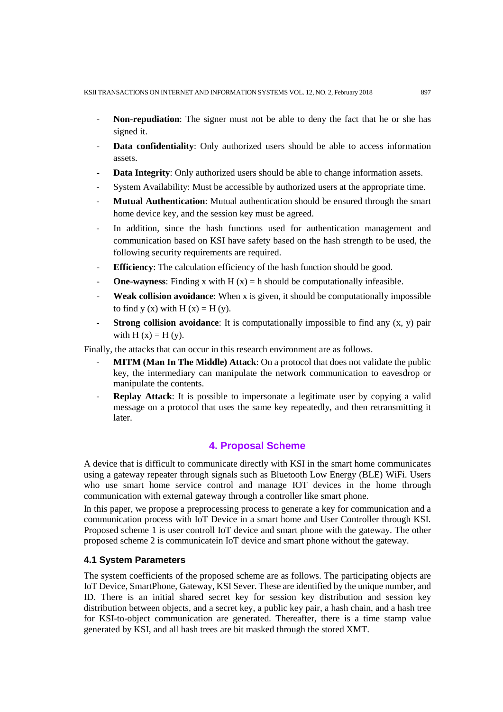- **Non-repudiation**: The signer must not be able to deny the fact that he or she has signed it.
- **Data confidentiality**: Only authorized users should be able to access information assets.
- **Data Integrity:** Only authorized users should be able to change information assets.
- System Availability: Must be accessible by authorized users at the appropriate time.
- **Mutual Authentication**: Mutual authentication should be ensured through the smart home device key, and the session key must be agreed.
- In addition, since the hash functions used for authentication management and communication based on KSI have safety based on the hash strength to be used, the following security requirements are required.
- **Efficiency**: The calculation efficiency of the hash function should be good.
- **- One-wayness:** Finding x with  $H(x) = h$  should be computationally infeasible.
- **Weak collision avoidance:** When x is given, it should be computationally impossible to find y (x) with H  $(x) =$  H  $(y)$ .
- **Strong collision avoidance**: It is computationally impossible to find any  $(x, y)$  pair with  $H(x) = H(y)$ .

Finally, the attacks that can occur in this research environment are as follows.

- **MITM (Man In The Middle) Attack**: On a protocol that does not validate the public key, the intermediary can manipulate the network communication to eavesdrop or manipulate the contents.
- **Replay Attack:** It is possible to impersonate a legitimate user by copying a valid message on a protocol that uses the same key repeatedly, and then retransmitting it later.

## **4. Proposal Scheme**

A device that is difficult to communicate directly with KSI in the smart home communicates using a gateway repeater through signals such as Bluetooth Low Energy (BLE) WiFi. Users who use smart home service control and manage IOT devices in the home through communication with external gateway through a controller like smart phone.

In this paper, we propose a preprocessing process to generate a key for communication and a communication process with IoT Device in a smart home and User Controller through KSI. Proposed scheme 1 is user controll IoT device and smart phone with the gateway. The other proposed scheme 2 is communicatein IoT device and smart phone without the gateway.

## **4.1 System Parameters**

The system coefficients of the proposed scheme are as follows. The participating objects are IoT Device, SmartPhone, Gateway, KSI Sever. These are identified by the unique number, and ID. There is an initial shared secret key for session key distribution and session key distribution between objects, and a secret key, a public key pair, a hash chain, and a hash tree for KSI-to-object communication are generated. Thereafter, there is a time stamp value generated by KSI, and all hash trees are bit masked through the stored XMT.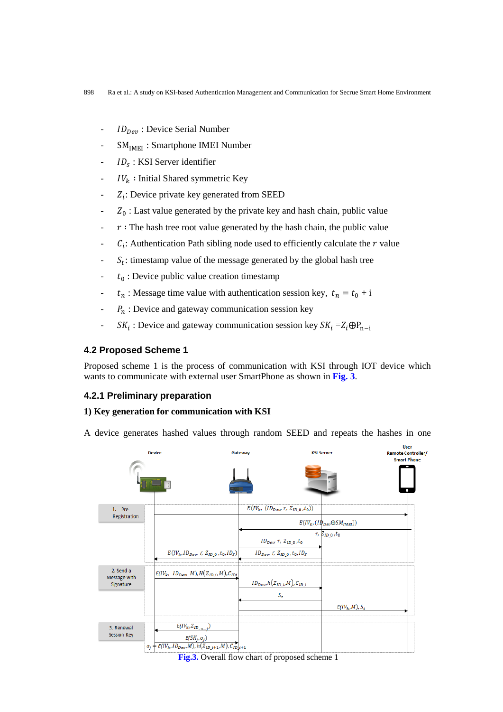- $ID_{Dev}$ : Device Serial Number
- $SM<sub>IMHI</sub>$ : Smartphone IMEI Number
- $ID_s$ : KSI Server identifier
- $IV_k$ : Initial Shared symmetric Key
- $Z_i$ : Device private key generated from SEED
- $Z_0$ : Last value generated by the private key and hash chain, public value
- $r$ : The hash tree root value generated by the hash chain, the public value
- $C_i$ : Authentication Path sibling node used to efficiently calculate the  $r$  value
- $S_t$ : timestamp value of the message generated by the global hash tree
- $t_0$ : Device public value creation timestamp
- $t_n$ : Message time value with authentication session key,  $t_n = t_0 + i$
- $-P_n$ : Device and gateway communication session key
- $SK_i$ : Device and gateway communication session key  $SK_i = Z_i \oplus P_{n-i}$

## **4.2 Proposed Scheme 1**

Proposed scheme 1 is the process of communication with KSI through IOT device which wants to communicate with external user SmartPhone as shown in **Fig. 3**.

#### **4.2.1 Preliminary preparation**

## **1) Key generation for communication with KSI**

A device generates hashed values through random SEED and repeats the hashes in one

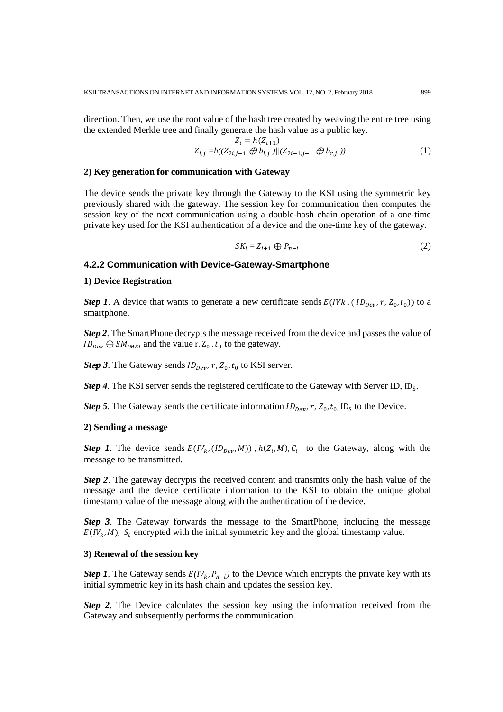direction. Then, we use the root value of the hash tree created by weaving the entire tree using the extended Merkle tree and finally generate the hash value as a public key.

$$
Z_i = h(Z_{i+1})
$$
  
\n
$$
Z_{i,j} = h((Z_{2i,j-1} \oplus b_{l,j}))/(Z_{2i+1,j-1} \oplus b_{r,j}))
$$
 (1)

#### **2) Key generation for communication with Gateway**

The device sends the private key through the Gateway to the KSI using the symmetric key previously shared with the gateway. The session key for communication then computes the session key of the next communication using a double-hash chain operation of a one-time private key used for the KSI authentication of a device and the one-time key of the gateway.

$$
SK_i = Z_{i+1} \oplus P_{n-i} \tag{2}
$$

## **4.2.2 Communication with Device-Gateway-Smartphone**

#### **1) Device Registration**

*Step 1*. A device that wants to generate a new certificate sends  $E(10R_{per}, r, Z_0, t_0)$  to a smartphone.

*Step 2*. The SmartPhone decrypts the message received from the device and passes the value of  $ID_{Dev} \oplus SM_{IMEI}$  and the value r, Z<sub>0</sub>, t<sub>0</sub> to the gateway.

*Step 3*. The Gateway sends  $ID_{Dev}$ ,  $r$ ,  $Z_0$ ,  $t_0$  to KSI server.

*Step 4*. The KSI server sends the registered certificate to the Gateway with Server ID,  $ID_s$ .

*Step 5*. The Gateway sends the certificate information  $ID_{Dev}$ ,  $r$ ,  $Z_0$ ,  $t_0$ ,  $ID_S$  to the Device.

### **2) Sending a message**

*Step 1*. The device sends  $E(IV_k, (ID_{per}, M))$ ,  $h(Z_i, M), C_i$  to the Gateway, along with the message to be transmitted.

*Step 2*. The gateway decrypts the received content and transmits only the hash value of the message and the device certificate information to the KSI to obtain the unique global timestamp value of the message along with the authentication of the device.

*Step 3*. The Gateway forwards the message to the SmartPhone, including the message  $E(I V_k, M)$ ,  $S_t$  encrypted with the initial symmetric key and the global timestamp value.

## **3) Renewal of the session key**

*Step 1*. The Gateway sends  $E(IV_k, P_{n-i})$  to the Device which encrypts the private key with its initial symmetric key in its hash chain and updates the session key.

*Step 2*. The Device calculates the session key using the information received from the Gateway and subsequently performs the communication.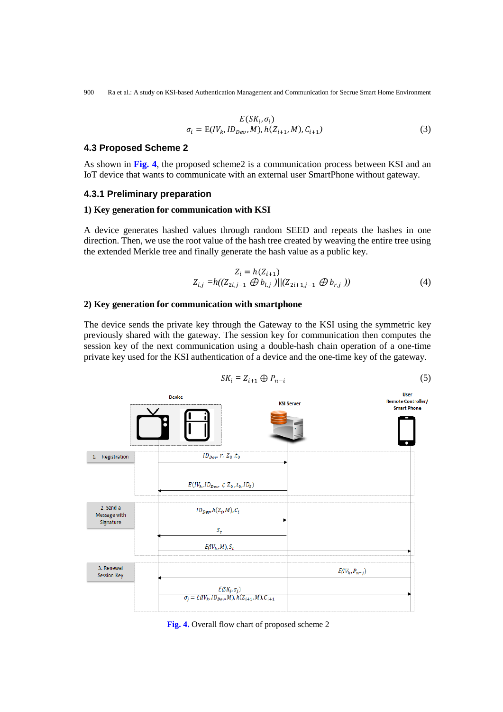900 Ra et al.: A study on KSI-based Authentication Management and Communication for Secrue Smart Home Environment

$$
E(SK_i, \sigma_i)
$$
  
\n
$$
\sigma_i = E(IV_k, ID_{Dev}, M), h(Z_{i+1}, M), C_{i+1})
$$
\n(3)

#### **4.3 Proposed Scheme 2**

As shown in **Fig. 4**, the proposed scheme2 is a communication process between KSI and an IoT device that wants to communicate with an external user SmartPhone without gateway.

#### **4.3.1 Preliminary preparation**

#### **1) Key generation for communication with KSI**

A device generates hashed values through random SEED and repeats the hashes in one direction. Then, we use the root value of the hash tree created by weaving the entire tree using the extended Merkle tree and finally generate the hash value as a public key.

$$
Z_i = h(Z_{i+1})
$$
  
\n
$$
Z_{i,j} = h((Z_{2i,j-1} \oplus b_{l,j}) \mid ((Z_{2i+1,j-1} \oplus b_{r,j}))
$$
\n(4)

#### **2) Key generation for communication with smartphone**

The device sends the private key through the Gateway to the KSI using the symmetric key previously shared with the gateway. The session key for communication then computes the session key of the next communication using a double-hash chain operation of a one-time private key used for the KSI authentication of a device and the one-time key of the gateway.



 $SK_i = Z_{i+1} \oplus P_{n-i}$  (5)

**Fig. 4.** Overall flow chart of proposed scheme 2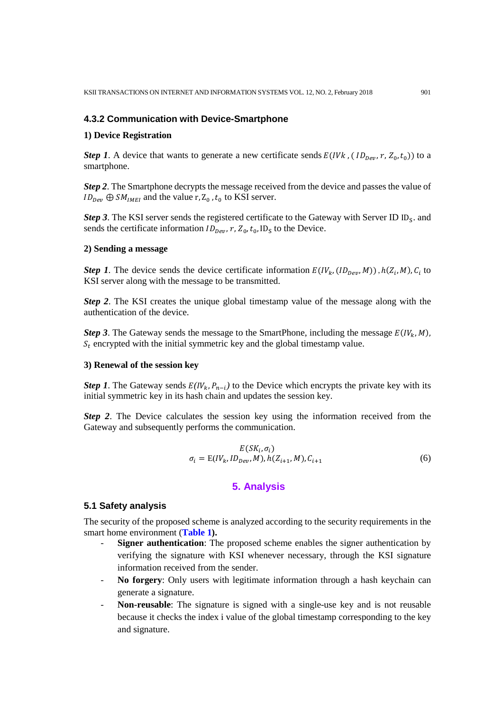## **4.3.2 Communication with Device-Smartphone**

#### **1) Device Registration**

*Step 1*. A device that wants to generate a new certificate sends  $E(11/k, (1D_{\text{Dev}}, r, Z_0, t_0))$  to a smartphone.

*Step 2*. The Smartphone decrypts the message received from the device and passes the value of  $ID_{Dev} \oplus SM_{IMEI}$  and the value r, Z<sub>0</sub>, t<sub>0</sub> to KSI server.

*Step 3*. The KSI server sends the registered certificate to the Gateway with Server ID ID<sub>S</sub>. and sends the certificate information  $ID_{Dev}$ ,  $r$ ,  $Z_0$ ,  $t_0$ ,  $ID_S$  to the Device.

#### **2) Sending a message**

*Step 1*. The device sends the device certificate information  $E(W_k, (ID_{Dev}, M))$ ,  $h(Z_i, M), C_i$  to KSI server along with the message to be transmitted.

*Step 2*. The KSI creates the unique global timestamp value of the message along with the authentication of the device.

*Step 3*. The Gateway sends the message to the SmartPhone, including the message  $E(IV_k, M)$ ,  $S_t$  encrypted with the initial symmetric key and the global timestamp value.

#### **3) Renewal of the session key**

*Step 1*. The Gateway sends  $E(IV_k, P_{n-i})$  to the Device which encrypts the private key with its initial symmetric key in its hash chain and updates the session key.

*Step 2*. The Device calculates the session key using the information received from the Gateway and subsequently performs the communication.

$$
E(SK_i, \sigma_i)
$$
  
\n
$$
\sigma_i = E(IV_k, ID_{Dev}, M), h(Z_{i+1}, M), C_{i+1}
$$
\n(6)

# **5. Analysis**

## **5.1 Safety analysis**

The security of the proposed scheme is analyzed according to the security requirements in the smart home environment (**Table 1).**

- **Signer authentication**: The proposed scheme enables the signer authentication by verifying the signature with KSI whenever necessary, through the KSI signature information received from the sender.
- **No forgery**: Only users with legitimate information through a hash keychain can generate a signature.
- **Non-reusable**: The signature is signed with a single-use key and is not reusable because it checks the index i value of the global timestamp corresponding to the key and signature.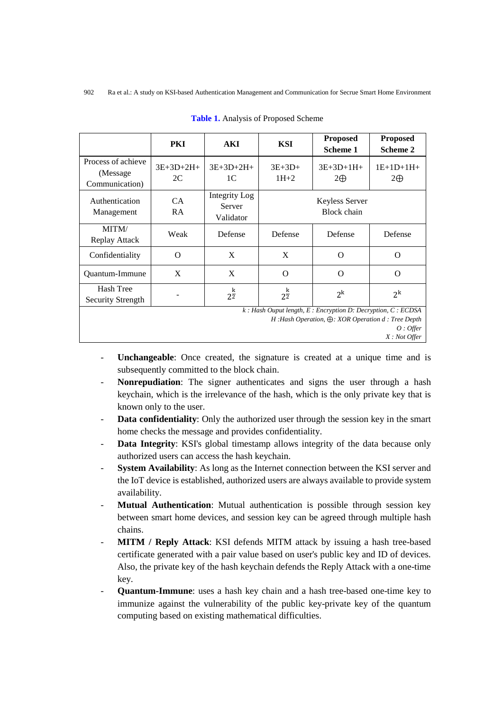|                                                                                                                                                                   | <b>PKI</b>        | <b>AKI</b>                           | <b>KSI</b>           | <b>Proposed</b><br>Scheme 1   | <b>Proposed</b><br>Scheme 2 |
|-------------------------------------------------------------------------------------------------------------------------------------------------------------------|-------------------|--------------------------------------|----------------------|-------------------------------|-----------------------------|
| Process of achieve<br>(Message)<br>Communication)                                                                                                                 | $3E+3D+2H+$<br>2C | $3E+3D+2H+$<br>1 <sup>C</sup>        | $3E+3D+$<br>$1H+2$   | $3E+3D+1H+$<br>$2\bigoplus$   | $1E+1D+1H+$<br>$2\bigoplus$ |
| Authentication<br>Management                                                                                                                                      | CA.<br>RA.        | Integrity Log<br>Server<br>Validator |                      | Keyless Server<br>Block chain |                             |
| MITM/<br>Replay Attack                                                                                                                                            | Weak              | Defense                              | Defense              | Defense                       | Defense                     |
| Confidentiality                                                                                                                                                   | $\Omega$          | X                                    | X                    | $\Omega$                      | $\Omega$                    |
| Quantum-Immune                                                                                                                                                    | X                 | X                                    | $\Omega$             | $\Omega$                      | $\Omega$                    |
| Hash Tree<br>Security Strength                                                                                                                                    |                   | k<br>$2\overline{2}$                 | k<br>$2\overline{2}$ | $2^k$                         | $2^k$                       |
| $k$ : Hash Ouput length, E: Encryption D: Decryption, C: ECDSA<br>$H:$ Hash Operation, $\bigoplus$ : XOR Operation d : Tree Depth<br>$O:$ Offer<br>$X: Not$ Offer |                   |                                      |                      |                               |                             |

**Table 1.** Analysis of Proposed Scheme

- **Unchangeable:** Once created, the signature is created at a unique time and is subsequently committed to the block chain.
- **Nonrepudiation**: The signer authenticates and signs the user through a hash keychain, which is the irrelevance of the hash, which is the only private key that is known only to the user.
- **Data confidentiality**: Only the authorized user through the session key in the smart home checks the message and provides confidentiality.
- **Data Integrity**: KSI's global timestamp allows integrity of the data because only authorized users can access the hash keychain.
- **System Availability**: As long as the Internet connection between the KSI server and the IoT device is established, authorized users are always available to provide system availability.
- Mutual Authentication: Mutual authentication is possible through session key between smart home devices, and session key can be agreed through multiple hash chains.
- **MITM / Reply Attack**: KSI defends MITM attack by issuing a hash tree-based certificate generated with a pair value based on user's public key and ID of devices. Also, the private key of the hash keychain defends the Reply Attack with a one-time key.
- **Quantum-Immune**: uses a hash key chain and a hash tree-based one-time key to immunize against the vulnerability of the public key-private key of the quantum computing based on existing mathematical difficulties.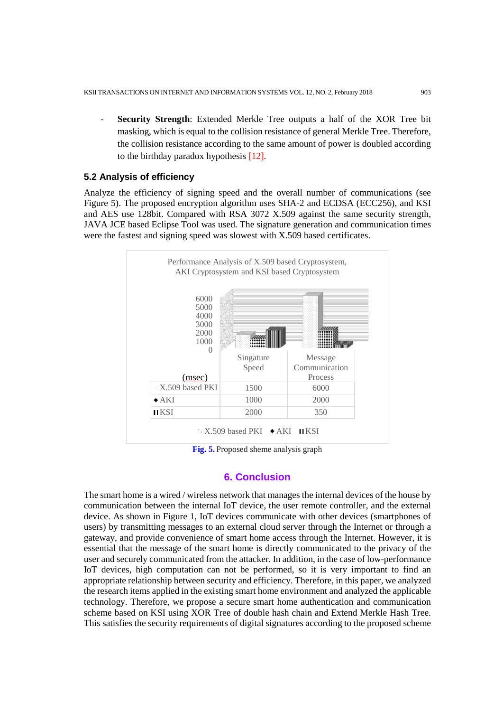Security Strength: Extended Merkle Tree outputs a half of the XOR Tree bit masking, which is equal to the collision resistance of general Merkle Tree. Therefore, the collision resistance according to the same amount of power is doubled according to the birthday paradox hypothesis [12].

## **5.2 Analysis of efficiency**

Analyze the efficiency of signing speed and the overall number of communications (see Figure 5). The proposed encryption algorithm uses SHA-2 and ECDSA (ECC256), and KSI and AES use 128bit. Compared with RSA 3072 X.509 against the same security strength, JAVA JCE based Eclipse Tool was used. The signature generation and communication times were the fastest and signing speed was slowest with X.509 based certificates.



**Fig. 5.** Proposed sheme analysis graph

## **6. Conclusion**

The smart home is a wired / wireless network that manages the internal devices of the house by communication between the internal IoT device, the user remote controller, and the external device. As shown in Figure 1, IoT devices communicate with other devices (smartphones of users) by transmitting messages to an external cloud server through the Internet or through a gateway, and provide convenience of smart home access through the Internet. However, it is essential that the message of the smart home is directly communicated to the privacy of the user and securely communicated from the attacker. In addition, in the case of low-performance IoT devices, high computation can not be performed, so it is very important to find an appropriate relationship between security and efficiency. Therefore, in this paper, we analyzed the research items applied in the existing smart home environment and analyzed the applicable technology. Therefore, we propose a secure smart home authentication and communication scheme based on KSI using XOR Tree of double hash chain and Extend Merkle Hash Tree. This satisfies the security requirements of digital signatures according to the proposed scheme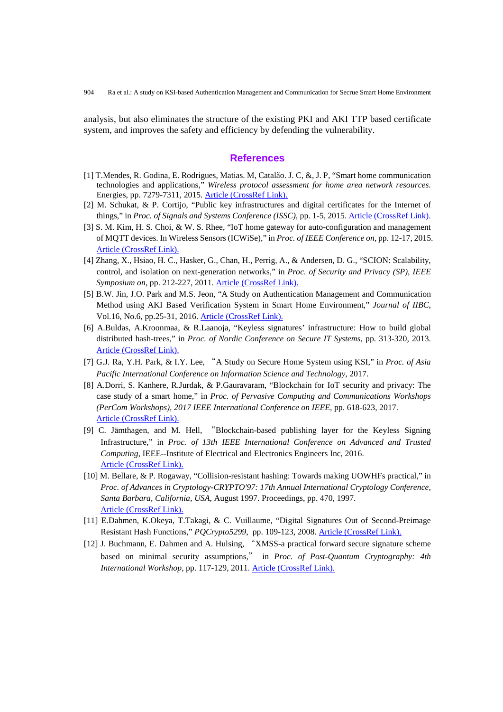analysis, but also eliminates the structure of the existing PKI and AKI TTP based certificate system, and improves the safety and efficiency by defending the vulnerability.

#### **References**

- [1] T.Mendes, R. Godina, E. Rodrigues, Matias. M, Catalão. J. C, &, J. P, "Smart home communication technologies and applications," *Wireless protocol assessment for home area network resources*. Energies, pp. 7279-7311, 2015[. Article \(CrossRef Link\).](https://doi.org/10.3390/en8077279)
- [2] M. Schukat, & P. Cortijo, "Public key infrastructures and digital certificates for the Internet of things," in *Proc. of Signals and Systems Conference (ISSC)*, pp. 1-5, 2015[. Article \(CrossRef Link\).](https://doi.org/10.1109/ISSC.2015.7163785)
- [3] S. M. Kim, H. S. Choi, & W. S. Rhee, "IoT home gateway for auto-configuration and management of MQTT devices. In Wireless Sensors (ICWiSe)," in *Proc. of IEEE Conference on*, pp. 12-17, 2015. [Article \(CrossRef Link\).](https://doi.org/10.1109/ICWISE.2015.7380346)
- [4] Zhang, X., Hsiao, H. C., Hasker, G., Chan, H., Perrig, A., & Andersen, D. G., "SCION: Scalability, control, and isolation on next-generation networks," in *Proc. of Security and Privacy (SP), IEEE Symposium on*, pp. 212-227, 2011[. Article \(CrossRef Link\).](http://ieeexplore.ieee.org/abstract/document/5958031/)
- [5] B.W. Jin, J.O. Park and M.S. Jeon, "A Study on Authentication Management and Communication Method using AKI Based Verification System in Smart Home Environment," *Journal of IIBC*, Vol.16, No.6, pp.25-31, 2016. [Article \(CrossRef Link\).](http://www.earticle.net/Article.aspx?sn=291287)
- [6] A.Buldas, A.Kroonmaa, & R.Laanoja, "Keyless signatures' infrastructure: How to build global distributed hash-trees," in *Proc. of Nordic Conference on Secure IT Systems*, pp. 313-320, 2013. [Article \(CrossRef Link\).](https://doi.org/10.1007/978-3-642-41488-6_21)
- [7] G.J. Ra, Y.H. Park, & I.Y. Lee, "A Study on Secure Home System using KSI," in *Proc. of Asia Pacific International Conference on Information Science and Technology*, 2017.
- [8] A.Dorri, S. Kanhere, R.Jurdak, & P.Gauravaram, "Blockchain for IoT security and privacy: The case study of a smart home," in *Proc. of Pervasive Computing and Communications Workshops (PerCom Workshops), 2017 IEEE International Conference on IEEE*, pp. 618-623, 2017. [Article \(CrossRef Link\).](https://doi.org/10.1109/PERCOMW.2017.7917634)
- [9] C. Jämthagen, and M. Hell, "Blockchain-based publishing layer for the Keyless Signing Infrastructure," in *Proc. of 13th IEEE International Conference on Advanced and Trusted Computing*, IEEE--Institute of Electrical and Electronics Engineers Inc, 2016. [Article \(CrossRef Link\).](https://doi.org/10.1109/UIC-ATC-ScalCom-CBDCom-IoP-SmartWorld.2016.0072)
- [10] M. Bellare, & P. Rogaway, "Collision-resistant hashing: Towards making UOWHFs practical," in *Proc. of Advances in Cryptology-CRYPTO'97: 17th Annual International Cryptology Conference, Santa Barbara, California, USA*, August 1997. Proceedings, pp. 470, 1997. [Article \(CrossRef Link\).](https://doi.org/10.1007/BFb0052256)
- [11] E.Dahmen, K.Okeya, T.Takagi, & C. Vuillaume, "Digital Signatures Out of Second-Preimage Resistant Hash Functions," *PQCrypto5299*, pp. 109-123, 2008. [Article \(CrossRef Link\).](https://doi.org/10.1007/978-3-540-88403-3_8)
- [12] J. Buchmann, E. Dahmen and A. Hulsing, "XMSS-a practical forward secure signature scheme based on minimal security assumptions," in *Proc. of Post-Quantum Cryptography: 4th International Workshop*, pp. 117-129, 2011. [Article \(CrossRef Link\).](https://doi.org/10.1007/978-3-642-25405-5_8)